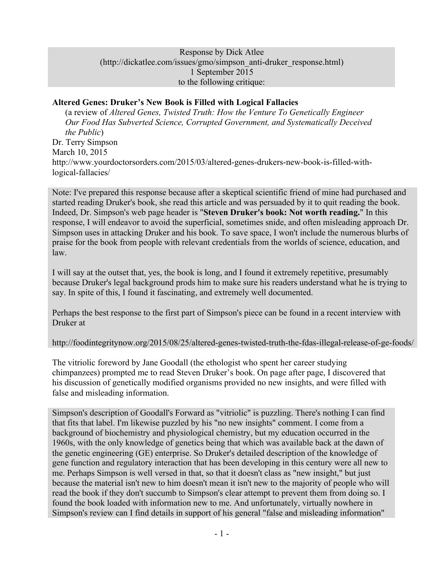#### Response by Dick Atlee (http://dickatlee.com/issues/gmo/simpson\_anti-druker\_response.html) 1 September 2015 to the following critique:

### **Altered Genes: Druker's New Book is Filled with Logical Fallacies**

(a review of *Altered Genes, Twisted Truth: How the Venture To Genetically Engineer Our Food Has Subverted Science, Corrupted Government, and Systematically Deceived the Public*) Dr. Terry Simpson March 10, 2015 http://www.yourdoctorsorders.com/2015/03/altered-genes-drukers-new-book-is-filled-withlogical-fallacies/

Note: I've prepared this response because after a skeptical scientific friend of mine had purchased and started reading Druker's book, she read this article and was persuaded by it to quit reading the book. Indeed, Dr. Simpson's web page header is "**Steven Druker's book: Not worth reading.**" In this response, I will endeavor to avoid the superficial, sometimes snide, and often misleading approach Dr. Simpson uses in attacking Druker and his book. To save space, I won't include the numerous blurbs of praise for the book from people with relevant credentials from the worlds of science, education, and law.

I will say at the outset that, yes, the book is long, and I found it extremely repetitive, presumably because Druker's legal background prods him to make sure his readers understand what he is trying to say. In spite of this, I found it fascinating, and extremely well documented.

Perhaps the best response to the first part of Simpson's piece can be found in a recent interview with Druker at

http://foodintegritynow.org/2015/08/25/altered-genes-twisted-truth-the-fdas-illegal-release-of-ge-foods/

The vitriolic foreword by Jane Goodall (the ethologist who spent her career studying chimpanzees) prompted me to read Steven Druker's book. On page after page, I discovered that his discussion of genetically modified organisms provided no new insights, and were filled with false and misleading information.

Simpson's description of Goodall's Forward as "vitriolic" is puzzling. There's nothing I can find that fits that label. I'm likewise puzzled by his "no new insights" comment. I come from a background of biochemistry and physiological chemistry, but my education occurred in the 1960s, with the only knowledge of genetics being that which was available back at the dawn of the genetic engineering (GE) enterprise. So Druker's detailed description of the knowledge of gene function and regulatory interaction that has been developing in this century were all new to me. Perhaps Simpson is well versed in that, so that it doesn't class as "new insight," but just because the material isn't new to him doesn't mean it isn't new to the majority of people who will read the book if they don't succumb to Simpson's clear attempt to prevent them from doing so. I found the book loaded with information new to me. And unfortunately, virtually nowhere in Simpson's review can I find details in support of his general "false and misleading information"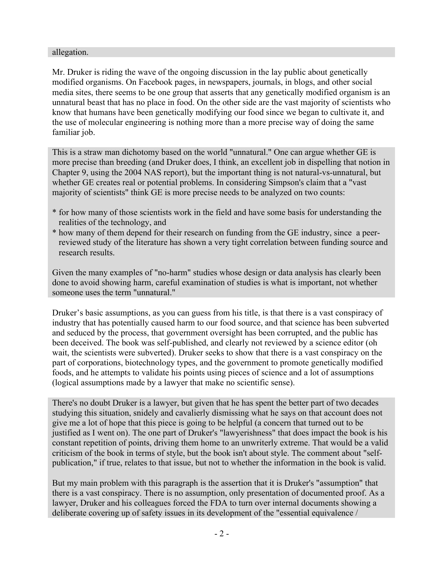#### allegation.

Mr. Druker is riding the wave of the ongoing discussion in the lay public about genetically modified organisms. On Facebook pages, in newspapers, journals, in blogs, and other social media sites, there seems to be one group that asserts that any genetically modified organism is an unnatural beast that has no place in food. On the other side are the vast majority of scientists who know that humans have been genetically modifying our food since we began to cultivate it, and the use of molecular engineering is nothing more than a more precise way of doing the same familiar job.

This is a straw man dichotomy based on the world "unnatural." One can argue whether GE is more precise than breeding (and Druker does, I think, an excellent job in dispelling that notion in Chapter 9, using the 2004 NAS report), but the important thing is not natural-vs-unnatural, but whether GE creates real or potential problems. In considering Simpson's claim that a "vast majority of scientists" think GE is more precise needs to be analyzed on two counts:

- \* for how many of those scientists work in the field and have some basis for understanding the realities of the technology, and
- \* how many of them depend for their research on funding from the GE industry, since a peerreviewed study of the literature has shown a very tight correlation between funding source and research results.

Given the many examples of "no-harm" studies whose design or data analysis has clearly been done to avoid showing harm, careful examination of studies is what is important, not whether someone uses the term "unnatural."

Druker's basic assumptions, as you can guess from his title, is that there is a vast conspiracy of industry that has potentially caused harm to our food source, and that science has been subverted and seduced by the process, that government oversight has been corrupted, and the public has been deceived. The book was self-published, and clearly not reviewed by a science editor (oh wait, the scientists were subverted). Druker seeks to show that there is a vast conspiracy on the part of corporations, biotechnology types, and the government to promote genetically modified foods, and he attempts to validate his points using pieces of science and a lot of assumptions (logical assumptions made by a lawyer that make no scientific sense).

There's no doubt Druker is a lawyer, but given that he has spent the better part of two decades studying this situation, snidely and cavalierly dismissing what he says on that account does not give me a lot of hope that this piece is going to be helpful (a concern that turned out to be justified as I went on). The one part of Druker's "lawyerishness" that does impact the book is his constant repetition of points, driving them home to an unwriterly extreme. That would be a valid criticism of the book in terms of style, but the book isn't about style. The comment about "selfpublication," if true, relates to that issue, but not to whether the information in the book is valid.

But my main problem with this paragraph is the assertion that it is Druker's "assumption" that there is a vast conspiracy. There is no assumption, only presentation of documented proof. As a lawyer, Druker and his colleagues forced the FDA to turn over internal documents showing a deliberate covering up of safety issues in its development of the "essential equivalence /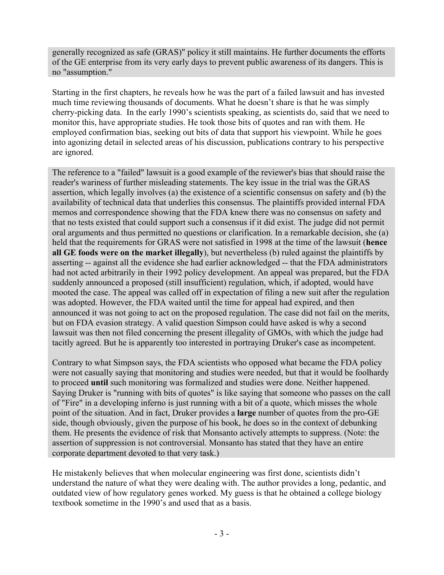generally recognized as safe (GRAS)" policy it still maintains. He further documents the efforts of the GE enterprise from its very early days to prevent public awareness of its dangers. This is no "assumption."

Starting in the first chapters, he reveals how he was the part of a failed lawsuit and has invested much time reviewing thousands of documents. What he doesn't share is that he was simply cherry-picking data. In the early 1990's scientists speaking, as scientists do, said that we need to monitor this, have appropriate studies. He took those bits of quotes and ran with them. He employed confirmation bias, seeking out bits of data that support his viewpoint. While he goes into agonizing detail in selected areas of his discussion, publications contrary to his perspective are ignored.

The reference to a "failed" lawsuit is a good example of the reviewer's bias that should raise the reader's wariness of further misleading statements. The key issue in the trial was the GRAS assertion, which legally involves (a) the existence of a scientific consensus on safety and (b) the availability of technical data that underlies this consensus. The plaintiffs provided internal FDA memos and correspondence showing that the FDA knew there was no consensus on safety and that no tests existed that could support such a consensus if it did exist. The judge did not permit oral arguments and thus permitted no questions or clarification. In a remarkable decision, she (a) held that the requirements for GRAS were not satisfied in 1998 at the time of the lawsuit (**hence all GE foods were on the market illegally**), but nevertheless (b) ruled against the plaintiffs by asserting -- against all the evidence she had earlier acknowledged -- that the FDA administrators had not acted arbitrarily in their 1992 policy development. An appeal was prepared, but the FDA suddenly announced a proposed (still insufficient) regulation, which, if adopted, would have mooted the case. The appeal was called off in expectation of filing a new suit after the regulation was adopted. However, the FDA waited until the time for appeal had expired, and then announced it was not going to act on the proposed regulation. The case did not fail on the merits, but on FDA evasion strategy. A valid question Simpson could have asked is why a second lawsuit was then not filed concerning the present illegality of GMOs, with which the judge had tacitly agreed. But he is apparently too interested in portraying Druker's case as incompetent.

Contrary to what Simpson says, the FDA scientists who opposed what became the FDA policy were not casually saying that monitoring and studies were needed, but that it would be foolhardy to proceed **until** such monitoring was formalized and studies were done. Neither happened. Saying Druker is "running with bits of quotes" is like saying that someone who passes on the call of "Fire" in a developing inferno is just running with a bit of a quote, which misses the whole point of the situation. And in fact, Druker provides a **large** number of quotes from the pro-GE side, though obviously, given the purpose of his book, he does so in the context of debunking them. He presents the evidence of risk that Monsanto actively attempts to suppress. (Note: the assertion of suppression is not controversial. Monsanto has stated that they have an entire corporate department devoted to that very task.)

He mistakenly believes that when molecular engineering was first done, scientists didn't understand the nature of what they were dealing with. The author provides a long, pedantic, and outdated view of how regulatory genes worked. My guess is that he obtained a college biology textbook sometime in the 1990's and used that as a basis.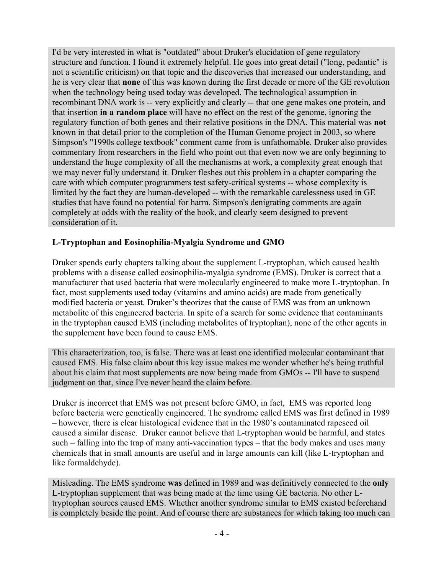I'd be very interested in what is "outdated" about Druker's elucidation of gene regulatory structure and function. I found it extremely helpful. He goes into great detail ("long, pedantic" is not a scientific criticism) on that topic and the discoveries that increased our understanding, and he is very clear that **none** of this was known during the first decade or more of the GE revolution when the technology being used today was developed. The technological assumption in recombinant DNA work is -- very explicitly and clearly -- that one gene makes one protein, and that insertion **in a random place** will have no effect on the rest of the genome, ignoring the regulatory function of both genes and their relative positions in the DNA. This material was **not** known in that detail prior to the completion of the Human Genome project in 2003, so where Simpson's "1990s college textbook" comment came from is unfathomable. Druker also provides commentary from researchers in the field who point out that even now we are only beginning to understand the huge complexity of all the mechanisms at work, a complexity great enough that we may never fully understand it. Druker fleshes out this problem in a chapter comparing the care with which computer programmers test safety-critical systems -- whose complexity is limited by the fact they are human-developed -- with the remarkable carelessness used in GE studies that have found no potential for harm. Simpson's denigrating comments are again completely at odds with the reality of the book, and clearly seem designed to prevent consideration of it.

#### **L-Tryptophan and Eosinophilia-Myalgia Syndrome and GMO**

Druker spends early chapters talking about the supplement L-tryptophan, which caused health problems with a disease called eosinophilia-myalgia syndrome (EMS). Druker is correct that a manufacturer that used bacteria that were molecularly engineered to make more L-tryptophan. In fact, most supplements used today (vitamins and amino acids) are made from genetically modified bacteria or yeast. Druker's theorizes that the cause of EMS was from an unknown metabolite of this engineered bacteria. In spite of a search for some evidence that contaminants in the tryptophan caused EMS (including metabolites of tryptophan), none of the other agents in the supplement have been found to cause EMS.

This characterization, too, is false. There was at least one identified molecular contaminant that caused EMS. His false claim about this key issue makes me wonder whether he's being truthful about his claim that most supplements are now being made from GMOs -- I'll have to suspend judgment on that, since I've never heard the claim before.

Druker is incorrect that EMS was not present before GMO, in fact, EMS was reported long before bacteria were genetically engineered. The syndrome called EMS was first defined in 1989 – however, there is clear histological evidence that in the 1980's contaminated rapeseed oil caused a similar disease. Druker cannot believe that L-tryptophan would be harmful, and states such – falling into the trap of many anti-vaccination types – that the body makes and uses many chemicals that in small amounts are useful and in large amounts can kill (like L-tryptophan and like formaldehyde).

Misleading. The EMS syndrome **was** defined in 1989 and was definitively connected to the **only** L-tryptophan supplement that was being made at the time using GE bacteria. No other Ltryptophan sources caused EMS. Whether another syndrome similar to EMS existed beforehand is completely beside the point. And of course there are substances for which taking too much can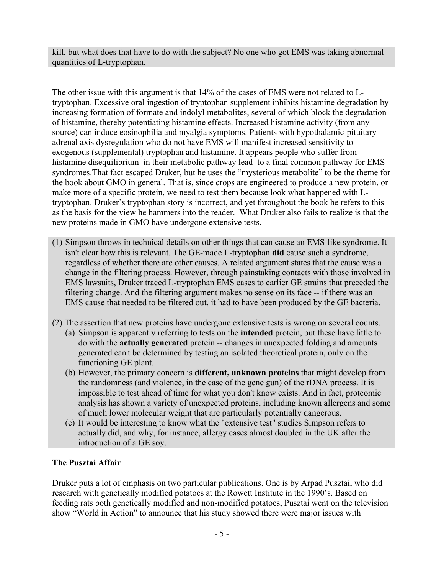kill, but what does that have to do with the subject? No one who got EMS was taking abnormal quantities of L-tryptophan.

The other issue with this argument is that 14% of the cases of EMS were not related to Ltryptophan. Excessive oral ingestion of tryptophan supplement inhibits histamine degradation by increasing formation of formate and indolyl metabolites, several of which block the degradation of histamine, thereby potentiating histamine effects. Increased histamine activity (from any source) can induce eosinophilia and myalgia symptoms. Patients with hypothalamic-pituitaryadrenal axis dysregulation who do not have EMS will manifest increased sensitivity to exogenous (supplemental) tryptophan and histamine. It appears people who suffer from histamine disequilibrium in their metabolic pathway lead to a final common pathway for EMS syndromes.That fact escaped Druker, but he uses the "mysterious metabolite" to be the theme for the book about GMO in general. That is, since crops are engineered to produce a new protein, or make more of a specific protein, we need to test them because look what happened with Ltryptophan. Druker's tryptophan story is incorrect, and yet throughout the book he refers to this as the basis for the view he hammers into the reader. What Druker also fails to realize is that the new proteins made in GMO have undergone extensive tests.

- (1) Simpson throws in technical details on other things that can cause an EMS-like syndrome. It isn't clear how this is relevant. The GE-made L-tryptophan **did** cause such a syndrome, regardless of whether there are other causes. A related argument states that the cause was a change in the filtering process. However, through painstaking contacts with those involved in EMS lawsuits, Druker traced L-tryptophan EMS cases to earlier GE strains that preceded the filtering change. And the filtering argument makes no sense on its face -- if there was an EMS cause that needed to be filtered out, it had to have been produced by the GE bacteria.
- (2) The assertion that new proteins have undergone extensive tests is wrong on several counts. (a) Simpson is apparently referring to tests on the **intended** protein, but these have little to do with the **actually generated** protein -- changes in unexpected folding and amounts generated can't be determined by testing an isolated theoretical protein, only on the functioning GE plant.
	- (b) However, the primary concern is **different, unknown proteins** that might develop from the randomness (and violence, in the case of the gene gun) of the rDNA process. It is impossible to test ahead of time for what you don't know exists. And in fact, proteomic analysis has shown a variety of unexpected proteins, including known allergens and some of much lower molecular weight that are particularly potentially dangerous.
	- (c) It would be interesting to know what the "extensive test" studies Simpson refers to actually did, and why, for instance, allergy cases almost doubled in the UK after the introduction of a GE soy.

## **The Pusztai Affair**

Druker puts a lot of emphasis on two particular publications. One is by Arpad Pusztai, who did research with genetically modified potatoes at the Rowett Institute in the 1990's. Based on feeding rats both genetically modified and non-modified potatoes, Pusztai went on the television show "World in Action" to announce that his study showed there were major issues with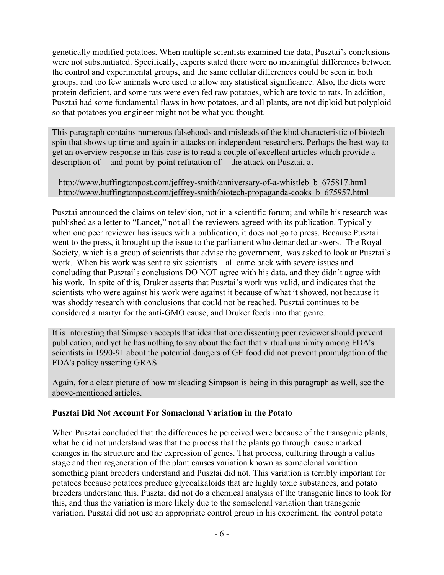genetically modified potatoes. When multiple scientists examined the data, Pusztai's conclusions were not substantiated. Specifically, experts stated there were no meaningful differences between the control and experimental groups, and the same cellular differences could be seen in both groups, and too few animals were used to allow any statistical significance. Also, the diets were protein deficient, and some rats were even fed raw potatoes, which are toxic to rats. In addition, Pusztai had some fundamental flaws in how potatoes, and all plants, are not diploid but polyploid so that potatoes you engineer might not be what you thought.

This paragraph contains numerous falsehoods and misleads of the kind characteristic of biotech spin that shows up time and again in attacks on independent researchers. Perhaps the best way to get an overview response in this case is to read a couple of excellent articles which provide a description of -- and point-by-point refutation of -- the attack on Pusztai, at

 http://www.huffingtonpost.com/jeffrey-smith/anniversary-of-a-whistleb\_b\_675817.html http://www.huffingtonpost.com/jeffrey-smith/biotech-propaganda-cooks\_b\_675957.html

Pusztai announced the claims on television, not in a scientific forum; and while his research was published as a letter to "Lancet," not all the reviewers agreed with its publication. Typically when one peer reviewer has issues with a publication, it does not go to press. Because Pusztai went to the press, it brought up the issue to the parliament who demanded answers. The Royal Society, which is a group of scientists that advise the government, was asked to look at Pusztai's work. When his work was sent to six scientists – all came back with severe issues and concluding that Pusztai's conclusions DO NOT agree with his data, and they didn't agree with his work. In spite of this, Druker asserts that Pusztai's work was valid, and indicates that the scientists who were against his work were against it because of what it showed, not because it was shoddy research with conclusions that could not be reached. Pusztai continues to be considered a martyr for the anti-GMO cause, and Druker feeds into that genre.

It is interesting that Simpson accepts that idea that one dissenting peer reviewer should prevent publication, and yet he has nothing to say about the fact that virtual unanimity among FDA's scientists in 1990-91 about the potential dangers of GE food did not prevent promulgation of the FDA's policy asserting GRAS.

Again, for a clear picture of how misleading Simpson is being in this paragraph as well, see the above-mentioned articles.

### **Pusztai Did Not Account For Somaclonal Variation in the Potato**

When Pusztai concluded that the differences he perceived were because of the transgenic plants, what he did not understand was that the process that the plants go through cause marked changes in the structure and the expression of genes. That process, culturing through a callus stage and then regeneration of the plant causes variation known as somaclonal variation – something plant breeders understand and Pusztai did not. This variation is terribly important for potatoes because potatoes produce glycoalkaloids that are highly toxic substances, and potato breeders understand this. Pusztai did not do a chemical analysis of the transgenic lines to look for this, and thus the variation is more likely due to the somaclonal variation than transgenic variation. Pusztai did not use an appropriate control group in his experiment, the control potato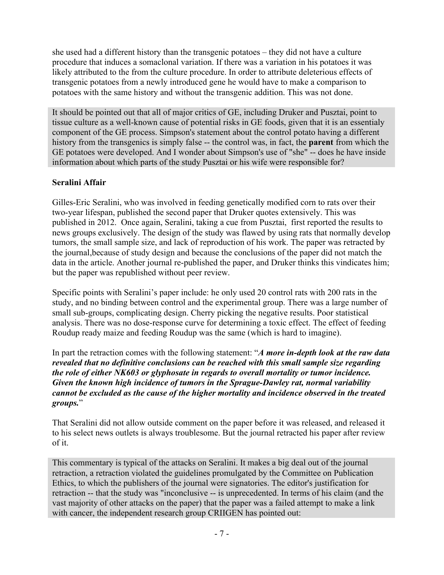she used had a different history than the transgenic potatoes – they did not have a culture procedure that induces a somaclonal variation. If there was a variation in his potatoes it was likely attributed to the from the culture procedure. In order to attribute deleterious effects of transgenic potatoes from a newly introduced gene he would have to make a comparison to potatoes with the same history and without the transgenic addition. This was not done.

It should be pointed out that all of major critics of GE, including Druker and Pusztai, point to tissue culture as a well-known cause of potential risks in GE foods, given that it is an essentialy component of the GE process. Simpson's statement about the control potato having a different history from the transgenics is simply false -- the control was, in fact, the **parent** from which the GE potatoes were developed. And I wonder about Simpson's use of "she" -- does he have inside information about which parts of the study Pusztai or his wife were responsible for?

### **Seralini Affair**

Gilles-Eric Seralini, who was involved in feeding genetically modified corn to rats over their two-year lifespan, published the second paper that Druker quotes extensively. This was published in 2012. Once again, Seralini, taking a cue from Pusztai, first reported the results to news groups exclusively. The design of the study was flawed by using rats that normally develop tumors, the small sample size, and lack of reproduction of his work. The paper was retracted by the journal,because of study design and because the conclusions of the paper did not match the data in the article. Another journal re-published the paper, and Druker thinks this vindicates him; but the paper was republished without peer review.

Specific points with Seralini's paper include: he only used 20 control rats with 200 rats in the study, and no binding between control and the experimental group. There was a large number of small sub-groups, complicating design. Cherry picking the negative results. Poor statistical analysis. There was no dose-response curve for determining a toxic effect. The effect of feeding Roudup ready maize and feeding Roudup was the same (which is hard to imagine).

In part the retraction comes with the following statement: "*A more in-depth look at the raw data revealed that no definitive conclusions can be reached with this small sample size regarding the role of either NK603 or glyphosate in regards to overall mortality or tumor incidence. Given the known high incidence of tumors in the Sprague-Dawley rat, normal variability cannot be excluded as the cause of the higher mortality and incidence observed in the treated groups.*"

That Seralini did not allow outside comment on the paper before it was released, and released it to his select news outlets is always troublesome. But the journal retracted his paper after review of it.

This commentary is typical of the attacks on Seralini. It makes a big deal out of the journal retraction, a retraction violated the guidelines promulgated by the Committee on Publication Ethics, to which the publishers of the journal were signatories. The editor's justification for retraction -- that the study was "inconclusive -- is unprecedented. In terms of his claim (and the vast majority of other attacks on the paper) that the paper was a failed attempt to make a link with cancer, the independent research group CRIIGEN has pointed out: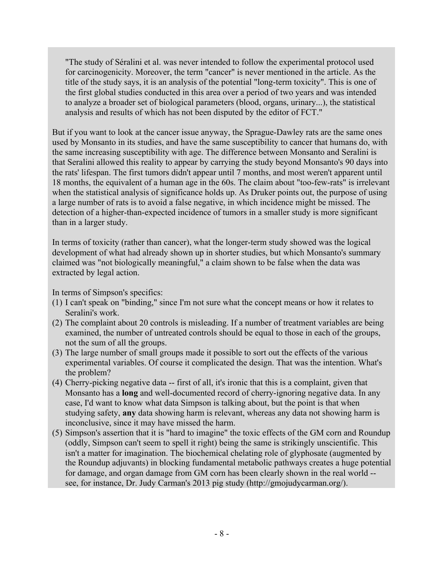"The study of Séralini et al. was never intended to follow the experimental protocol used for carcinogenicity. Moreover, the term "cancer" is never mentioned in the article. As the title of the study says, it is an analysis of the potential "long-term toxicity". This is one of the first global studies conducted in this area over a period of two years and was intended to analyze a broader set of biological parameters (blood, organs, urinary...), the statistical analysis and results of which has not been disputed by the editor of FCT."

But if you want to look at the cancer issue anyway, the Sprague-Dawley rats are the same ones used by Monsanto in its studies, and have the same susceptibility to cancer that humans do, with the same increasing susceptibility with age. The difference between Monsanto and Seralini is that Seralini allowed this reality to appear by carrying the study beyond Monsanto's 90 days into the rats' lifespan. The first tumors didn't appear until 7 months, and most weren't apparent until 18 months, the equivalent of a human age in the 60s. The claim about "too-few-rats" is irrelevant when the statistical analysis of significance holds up. As Druker points out, the purpose of using a large number of rats is to avoid a false negative, in which incidence might be missed. The detection of a higher-than-expected incidence of tumors in a smaller study is more significant than in a larger study.

In terms of toxicity (rather than cancer), what the longer-term study showed was the logical development of what had already shown up in shorter studies, but which Monsanto's summary claimed was "not biologically meaningful," a claim shown to be false when the data was extracted by legal action.

In terms of Simpson's specifics:

- (1) I can't speak on "binding," since I'm not sure what the concept means or how it relates to Seralini's work.
- (2) The complaint about 20 controls is misleading. If a number of treatment variables are being examined, the number of untreated controls should be equal to those in each of the groups, not the sum of all the groups.
- (3) The large number of small groups made it possible to sort out the effects of the various experimental variables. Of course it complicated the design. That was the intention. What's the problem?
- (4) Cherry-picking negative data -- first of all, it's ironic that this is a complaint, given that Monsanto has a **long** and well-documented record of cherry-ignoring negative data. In any case, I'd want to know what data Simpson is talking about, but the point is that when studying safety, **any** data showing harm is relevant, whereas any data not showing harm is inconclusive, since it may have missed the harm.
- (5) Simpson's assertion that it is "hard to imagine" the toxic effects of the GM corn and Roundup (oddly, Simpson can't seem to spell it right) being the same is strikingly unscientific. This isn't a matter for imagination. The biochemical chelating role of glyphosate (augmented by the Roundup adjuvants) in blocking fundamental metabolic pathways creates a huge potential for damage, and organ damage from GM corn has been clearly shown in the real world - see, for instance, Dr. Judy Carman's 2013 pig study (http://gmojudycarman.org/).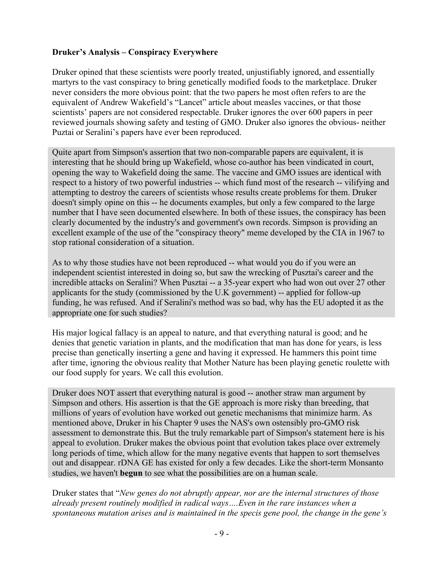### **Druker's Analysis – Conspiracy Everywhere**

Druker opined that these scientists were poorly treated, unjustifiably ignored, and essentially martyrs to the vast conspiracy to bring genetically modified foods to the marketplace. Druker never considers the more obvious point: that the two papers he most often refers to are the equivalent of Andrew Wakefield's "Lancet" article about measles vaccines, or that those scientists' papers are not considered respectable. Druker ignores the over 600 papers in peer reviewed journals showing safety and testing of GMO. Druker also ignores the obvious- neither Puztai or Seralini's papers have ever been reproduced.

Quite apart from Simpson's assertion that two non-comparable papers are equivalent, it is interesting that he should bring up Wakefield, whose co-author has been vindicated in court, opening the way to Wakefield doing the same. The vaccine and GMO issues are identical with respect to a history of two powerful industries -- which fund most of the research -- vilifying and attempting to destroy the careers of scientists whose results create problems for them. Druker doesn't simply opine on this -- he documents examples, but only a few compared to the large number that I have seen documented elsewhere. In both of these issues, the conspiracy has been clearly documented by the industry's and government's own records. Simpson is providing an excellent example of the use of the "conspiracy theory" meme developed by the CIA in 1967 to stop rational consideration of a situation.

As to why those studies have not been reproduced -- what would you do if you were an independent scientist interested in doing so, but saw the wrecking of Pusztai's career and the incredible attacks on Seralini? When Pusztai -- a 35-year expert who had won out over 27 other applicants for the study (commissioned by the U.K government) -- applied for follow-up funding, he was refused. And if Seralini's method was so bad, why has the EU adopted it as the appropriate one for such studies?

His major logical fallacy is an appeal to nature, and that everything natural is good; and he denies that genetic variation in plants, and the modification that man has done for years, is less precise than genetically inserting a gene and having it expressed. He hammers this point time after time, ignoring the obvious reality that Mother Nature has been playing genetic roulette with our food supply for years. We call this evolution.

Druker does NOT assert that everything natural is good -- another straw man argument by Simpson and others. His assertion is that the GE approach is more risky than breeding, that millions of years of evolution have worked out genetic mechanisms that minimize harm. As mentioned above, Druker in his Chapter 9 uses the NAS's own ostensibly pro-GMO risk assessment to demonstrate this. But the truly remarkable part of Simpson's statement here is his appeal to evolution. Druker makes the obvious point that evolution takes place over extremely long periods of time, which allow for the many negative events that happen to sort themselves out and disappear. rDNA GE has existed for only a few decades. Like the short-term Monsanto studies, we haven't **begun** to see what the possibilities are on a human scale.

Druker states that "*New genes do not abruptly appear, nor are the internal structures of those already present routinely modified in radical ways….Even in the rare instances when a spontaneous mutation arises and is maintained in the specis gene pool, the change in the gene's*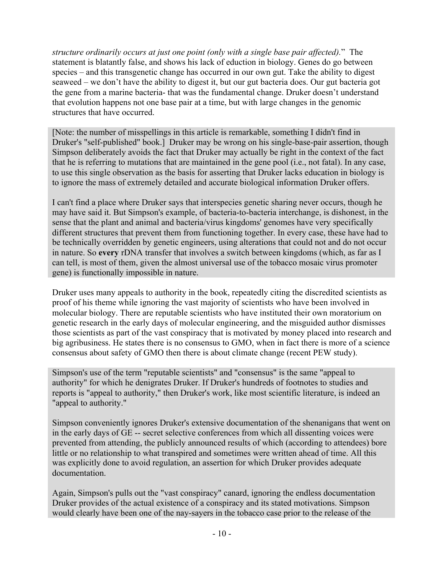*structure ordinarily occurs at just one point (only with a single base pair affected).*" The statement is blatantly false, and shows his lack of eduction in biology. Genes do go between species – and this transgenetic change has occurred in our own gut. Take the ability to digest seaweed – we don't have the ability to digest it, but our gut bacteria does. Our gut bacteria got the gene from a marine bacteria- that was the fundamental change. Druker doesn't understand that evolution happens not one base pair at a time, but with large changes in the genomic structures that have occurred.

[Note: the number of misspellings in this article is remarkable, something I didn't find in Druker's "self-published" book.] Druker may be wrong on his single-base-pair assertion, though Simpson deliberately avoids the fact that Druker may actually be right in the context of the fact that he is referring to mutations that are maintained in the gene pool (i.e., not fatal). In any case, to use this single observation as the basis for asserting that Druker lacks education in biology is to ignore the mass of extremely detailed and accurate biological information Druker offers.

I can't find a place where Druker says that interspecies genetic sharing never occurs, though he may have said it. But Simpson's example, of bacteria-to-bacteria interchange, is dishonest, in the sense that the plant and animal and bacteria/virus kingdoms' genomes have very specifically different structures that prevent them from functioning together. In every case, these have had to be technically overridden by genetic engineers, using alterations that could not and do not occur in nature. So **every** rDNA transfer that involves a switch between kingdoms (which, as far as I can tell, is most of them, given the almost universal use of the tobacco mosaic virus promoter gene) is functionally impossible in nature.

Druker uses many appeals to authority in the book, repeatedly citing the discredited scientists as proof of his theme while ignoring the vast majority of scientists who have been involved in molecular biology. There are reputable scientists who have instituted their own moratorium on genetic research in the early days of molecular engineering, and the misguided author dismisses those scientists as part of the vast conspiracy that is motivated by money placed into research and big agribusiness. He states there is no consensus to GMO, when in fact there is more of a science consensus about safety of GMO then there is about climate change (recent PEW study).

Simpson's use of the term "reputable scientists" and "consensus" is the same "appeal to authority" for which he denigrates Druker. If Druker's hundreds of footnotes to studies and reports is "appeal to authority," then Druker's work, like most scientific literature, is indeed an "appeal to authority."

Simpson conveniently ignores Druker's extensive documentation of the shenanigans that went on in the early days of GE -- secret selective conferences from which all dissenting voices were prevented from attending, the publicly announced results of which (according to attendees) bore little or no relationship to what transpired and sometimes were written ahead of time. All this was explicitly done to avoid regulation, an assertion for which Druker provides adequate documentation.

Again, Simpson's pulls out the "vast conspiracy" canard, ignoring the endless documentation Druker provides of the actual existence of a conspiracy and its stated motivations. Simpson would clearly have been one of the nay-sayers in the tobacco case prior to the release of the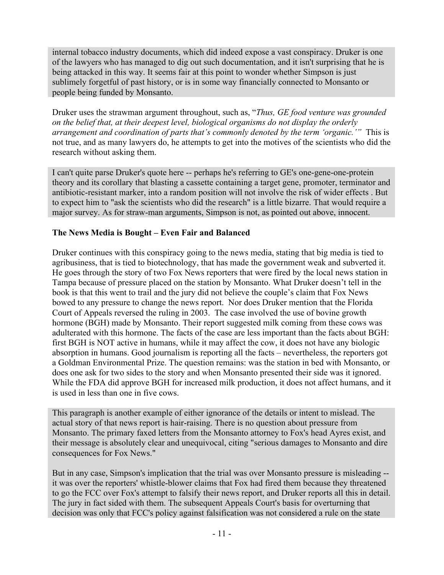internal tobacco industry documents, which did indeed expose a vast conspiracy. Druker is one of the lawyers who has managed to dig out such documentation, and it isn't surprising that he is being attacked in this way. It seems fair at this point to wonder whether Simpson is just sublimely forgetful of past history, or is in some way financially connected to Monsanto or people being funded by Monsanto.

Druker uses the strawman argument throughout, such as, "*Thus, GE food venture was grounded on the belief that, at their deepest level, biological organisms do not display the orderly arrangement and coordination of parts that's commonly denoted by the term 'organic.'"* This is not true, and as many lawyers do, he attempts to get into the motives of the scientists who did the research without asking them.

I can't quite parse Druker's quote here -- perhaps he's referring to GE's one-gene-one-protein theory and its corollary that blasting a cassette containing a target gene, promoter, terminator and antibiotic-resistant marker, into a random position will not involve the risk of wider effects . But to expect him to "ask the scientists who did the research" is a little bizarre. That would require a major survey. As for straw-man arguments, Simpson is not, as pointed out above, innocent.

#### **The News Media is Bought – Even Fair and Balanced**

Druker continues with this conspiracy going to the news media, stating that big media is tied to agribusiness, that is tied to biotechnology, that has made the government weak and subverted it. He goes through the story of two Fox News reporters that were fired by the local news station in Tampa because of pressure placed on the station by Monsanto. What Druker doesn't tell in the book is that this went to trail and the jury did not believe the couple's claim that Fox News bowed to any pressure to change the news report. Nor does Druker mention that the Florida Court of Appeals reversed the ruling in 2003. The case involved the use of bovine growth hormone (BGH) made by Monsanto. Their report suggested milk coming from these cows was adulterated with this hormone. The facts of the case are less important than the facts about BGH: first BGH is NOT active in humans, while it may affect the cow, it does not have any biologic absorption in humans. Good journalism is reporting all the facts – nevertheless, the reporters got a Goldman Environmental Prize. The question remains: was the station in bed with Monsanto, or does one ask for two sides to the story and when Monsanto presented their side was it ignored. While the FDA did approve BGH for increased milk production, it does not affect humans, and it is used in less than one in five cows.

This paragraph is another example of either ignorance of the details or intent to mislead. The actual story of that news report is hair-raising. There is no question about pressure from Monsanto. The primary faxed letters from the Monsanto attorney to Fox's head Ayres exist, and their message is absolutely clear and unequivocal, citing "serious damages to Monsanto and dire consequences for Fox News."

But in any case, Simpson's implication that the trial was over Monsanto pressure is misleading - it was over the reporters' whistle-blower claims that Fox had fired them because they threatened to go the FCC over Fox's attempt to falsify their news report, and Druker reports all this in detail. The jury in fact sided with them. The subsequent Appeals Court's basis for overturning that decision was only that FCC's policy against falsification was not considered a rule on the state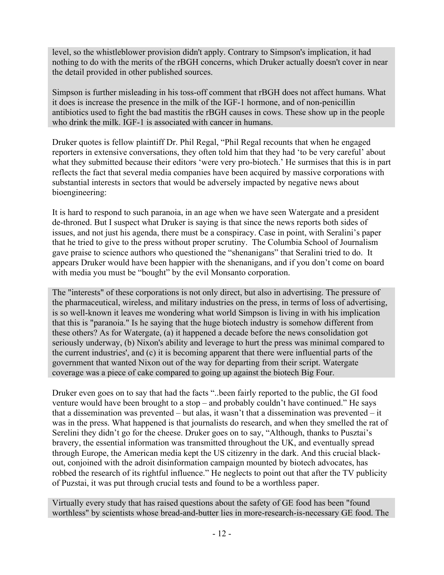level, so the whistleblower provision didn't apply. Contrary to Simpson's implication, it had nothing to do with the merits of the rBGH concerns, which Druker actually doesn't cover in near the detail provided in other published sources.

Simpson is further misleading in his toss-off comment that rBGH does not affect humans. What it does is increase the presence in the milk of the IGF-1 hormone, and of non-penicillin antibiotics used to fight the bad mastitis the rBGH causes in cows. These show up in the people who drink the milk. IGF-1 is associated with cancer in humans.

Druker quotes is fellow plaintiff Dr. Phil Regal, "Phil Regal recounts that when he engaged reporters in extensive conversations, they often told him that they had 'to be very careful' about what they submitted because their editors 'were very pro-biotech.' He surmises that this is in part reflects the fact that several media companies have been acquired by massive corporations with substantial interests in sectors that would be adversely impacted by negative news about bioengineering:

It is hard to respond to such paranoia, in an age when we have seen Watergate and a president de-throned. But I suspect what Druker is saying is that since the news reports both sides of issues, and not just his agenda, there must be a conspiracy. Case in point, with Seralini's paper that he tried to give to the press without proper scrutiny. The Columbia School of Journalism gave praise to science authors who questioned the "shenanigans" that Seralini tried to do. It appears Druker would have been happier with the shenanigans, and if you don't come on board with media you must be "bought" by the evil Monsanto corporation.

The "interests" of these corporations is not only direct, but also in advertising. The pressure of the pharmaceutical, wireless, and military industries on the press, in terms of loss of advertising, is so well-known it leaves me wondering what world Simpson is living in with his implication that this is "paranoia." Is he saying that the huge biotech industry is somehow different from these others? As for Watergate, (a) it happened a decade before the news consolidation got seriously underway, (b) Nixon's ability and leverage to hurt the press was minimal compared to the current industries', and (c) it is becoming apparent that there were influential parts of the government that wanted Nixon out of the way for departing from their script. Watergate coverage was a piece of cake compared to going up against the biotech Big Four.

Druker even goes on to say that had the facts "..been fairly reported to the public, the GI food venture would have been brought to a stop – and probably couldn't have continued." He says that a dissemination was prevented – but alas, it wasn't that a dissemination was prevented – it was in the press. What happened is that journalists do research, and when they smelled the rat of Serelini they didn't go for the cheese. Druker goes on to say, "Although, thanks to Pusztai's bravery, the essential information was transmitted throughout the UK, and eventually spread through Europe, the American media kept the US citizenry in the dark. And this crucial blackout, conjoined with the adroit disinformation campaign mounted by biotech advocates, has robbed the research of its rightful influence." He neglects to point out that after the TV publicity of Puzstai, it was put through crucial tests and found to be a worthless paper.

Virtually every study that has raised questions about the safety of GE food has been "found worthless" by scientists whose bread-and-butter lies in more-research-is-necessary GE food. The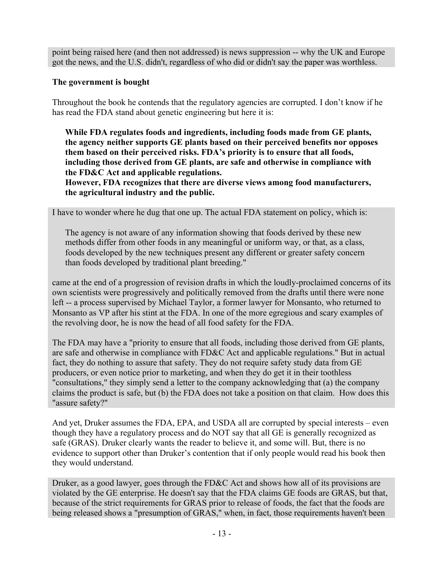point being raised here (and then not addressed) is news suppression -- why the UK and Europe got the news, and the U.S. didn't, regardless of who did or didn't say the paper was worthless.

#### **The government is bought**

Throughout the book he contends that the regulatory agencies are corrupted. I don't know if he has read the FDA stand about genetic engineering but here it is:

**While FDA regulates foods and ingredients, including foods made from GE plants, the agency neither supports GE plants based on their perceived benefits nor opposes them based on their perceived risks. FDA's priority is to ensure that all foods, including those derived from GE plants, are safe and otherwise in compliance with the FD&C Act and applicable regulations.**

**However, FDA recognizes that there are diverse views among food manufacturers, the agricultural industry and the public.**

I have to wonder where he dug that one up. The actual FDA statement on policy, which is:

The agency is not aware of any information showing that foods derived by these new methods differ from other foods in any meaningful or uniform way, or that, as a class, foods developed by the new techniques present any different or greater safety concern than foods developed by traditional plant breeding."

came at the end of a progression of revision drafts in which the loudly-proclaimed concerns of its own scientists were progressively and politically removed from the drafts until there were none left -- a process supervised by Michael Taylor, a former lawyer for Monsanto, who returned to Monsanto as VP after his stint at the FDA. In one of the more egregious and scary examples of the revolving door, he is now the head of all food safety for the FDA.

The FDA may have a "priority to ensure that all foods, including those derived from GE plants, are safe and otherwise in compliance with FD&C Act and applicable regulations." But in actual fact, they do nothing to assure that safety. They do not require safety study data from GE producers, or even notice prior to marketing, and when they do get it in their toothless "consultations," they simply send a letter to the company acknowledging that (a) the company claims the product is safe, but (b) the FDA does not take a position on that claim. How does this "assure safety?"

And yet, Druker assumes the FDA, EPA, and USDA all are corrupted by special interests – even though they have a regulatory process and do NOT say that all GE is generally recognized as safe (GRAS). Druker clearly wants the reader to believe it, and some will. But, there is no evidence to support other than Druker's contention that if only people would read his book then they would understand.

Druker, as a good lawyer, goes through the FD&C Act and shows how all of its provisions are violated by the GE enterprise. He doesn't say that the FDA claims GE foods are GRAS, but that, because of the strict requirements for GRAS prior to release of foods, the fact that the foods are being released shows a "presumption of GRAS," when, in fact, those requirements haven't been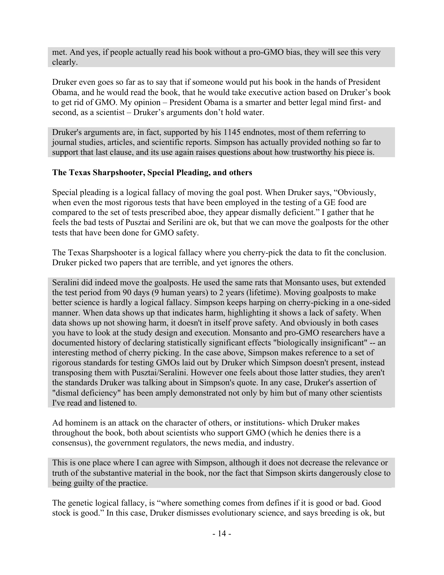met. And yes, if people actually read his book without a pro-GMO bias, they will see this very clearly.

Druker even goes so far as to say that if someone would put his book in the hands of President Obama, and he would read the book, that he would take executive action based on Druker's book to get rid of GMO. My opinion – President Obama is a smarter and better legal mind first- and second, as a scientist – Druker's arguments don't hold water.

Druker's arguments are, in fact, supported by his 1145 endnotes, most of them referring to journal studies, articles, and scientific reports. Simpson has actually provided nothing so far to support that last clause, and its use again raises questions about how trustworthy his piece is.

#### **The Texas Sharpshooter, Special Pleading, and others**

Special pleading is a logical fallacy of moving the goal post. When Druker says, "Obviously, when even the most rigorous tests that have been employed in the testing of a GE food are compared to the set of tests prescribed aboe, they appear dismally deficient." I gather that he feels the bad tests of Pusztai and Serilini are ok, but that we can move the goalposts for the other tests that have been done for GMO safety.

The Texas Sharpshooter is a logical fallacy where you cherry-pick the data to fit the conclusion. Druker picked two papers that are terrible, and yet ignores the others.

Seralini did indeed move the goalposts. He used the same rats that Monsanto uses, but extended the test period from 90 days (9 human years) to 2 years (lifetime). Moving goalposts to make better science is hardly a logical fallacy. Simpson keeps harping on cherry-picking in a one-sided manner. When data shows up that indicates harm, highlighting it shows a lack of safety. When data shows up not showing harm, it doesn't in itself prove safety. And obviously in both cases you have to look at the study design and execution. Monsanto and pro-GMO researchers have a documented history of declaring statistically significant effects "biologically insignificant" -- an interesting method of cherry picking. In the case above, Simpson makes reference to a set of rigorous standards for testing GMOs laid out by Druker which Simpson doesn't present, instead transposing them with Pusztai/Seralini. However one feels about those latter studies, they aren't the standards Druker was talking about in Simpson's quote. In any case, Druker's assertion of "dismal deficiency" has been amply demonstrated not only by him but of many other scientists I've read and listened to.

Ad hominem is an attack on the character of others, or institutions- which Druker makes throughout the book, both about scientists who support GMO (which he denies there is a consensus), the government regulators, the news media, and industry.

This is one place where I can agree with Simpson, although it does not decrease the relevance or truth of the substantive material in the book, nor the fact that Simpson skirts dangerously close to being guilty of the practice.

The genetic logical fallacy, is "where something comes from defines if it is good or bad. Good stock is good." In this case, Druker dismisses evolutionary science, and says breeding is ok, but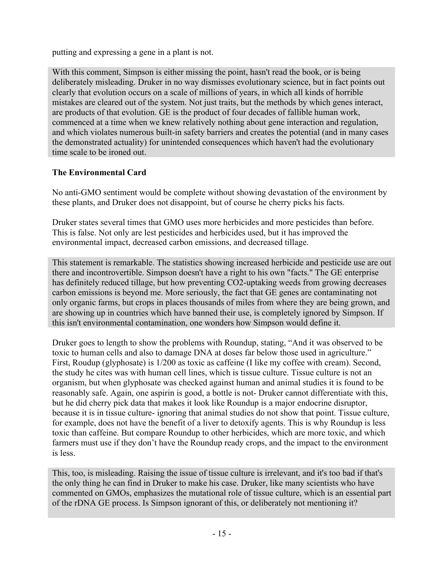putting and expressing a gene in a plant is not.

With this comment, Simpson is either missing the point, hasn't read the book, or is being deliberately misleading. Druker in no way dismisses evolutionary science, but in fact points out clearly that evolution occurs on a scale of millions of years, in which all kinds of horrible mistakes are cleared out of the system. Not just traits, but the methods by which genes interact, are products of that evolution. GE is the product of four decades of fallible human work, commenced at a time when we knew relatively nothing about gene interaction and regulation, and which violates numerous built-in safety barriers and creates the potential (and in many cases the demonstrated actuality) for unintended consequences which haven't had the evolutionary time scale to be ironed out.

## **The Environmental Card**

No anti-GMO sentiment would be complete without showing devastation of the environment by these plants, and Druker does not disappoint, but of course he cherry picks his facts.

Druker states several times that GMO uses more herbicides and more pesticides than before. This is false. Not only are lest pesticides and herbicides used, but it has improved the environmental impact, decreased carbon emissions, and decreased tillage.

This statement is remarkable. The statistics showing increased herbicide and pesticide use are out there and incontrovertible. Simpson doesn't have a right to his own "facts." The GE enterprise has definitely reduced tillage, but how preventing CO2-uptaking weeds from growing decreases carbon emissions is beyond me. More seriously, the fact that GE genes are contaminating not only organic farms, but crops in places thousands of miles from where they are being grown, and are showing up in countries which have banned their use, is completely ignored by Simpson. If this isn't environmental contamination, one wonders how Simpson would define it.

Druker goes to length to show the problems with Roundup, stating, "And it was observed to be toxic to human cells and also to damage DNA at doses far below those used in agriculture." First, Roudup (glyphosate) is 1/200 as toxic as caffeine (I like my coffee with cream). Second, the study he cites was with human cell lines, which is tissue culture. Tissue culture is not an organism, but when glyphosate was checked against human and animal studies it is found to be reasonably safe. Again, one aspirin is good, a bottle is not- Druker cannot differentiate with this, but he did cherry pick data that makes it look like Roundup is a major endocrine disruptor, because it is in tissue culture- ignoring that animal studies do not show that point. Tissue culture, for example, does not have the benefit of a liver to detoxify agents. This is why Roundup is less toxic than caffeine. But compare Roundup to other herbicides, which are more toxic, and which farmers must use if they don't have the Roundup ready crops, and the impact to the environment is less.

This, too, is misleading. Raising the issue of tissue culture is irrelevant, and it's too bad if that's the only thing he can find in Druker to make his case. Druker, like many scientists who have commented on GMOs, emphasizes the mutational role of tissue culture, which is an essential part of the rDNA GE process. Is Simpson ignorant of this, or deliberately not mentioning it?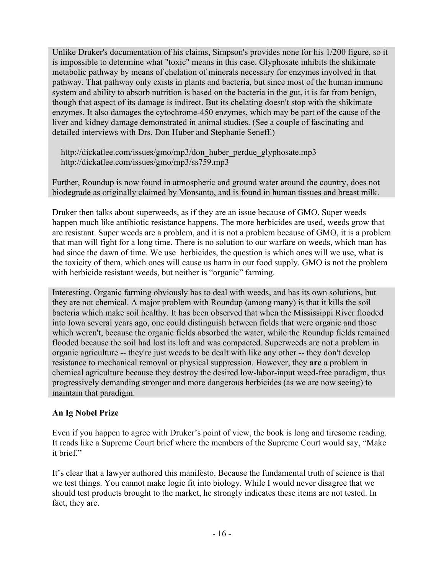Unlike Druker's documentation of his claims, Simpson's provides none for his 1/200 figure, so it is impossible to determine what "toxic" means in this case. Glyphosate inhibits the shikimate metabolic pathway by means of chelation of minerals necessary for enzymes involved in that pathway. That pathway only exists in plants and bacteria, but since most of the human immune system and ability to absorb nutrition is based on the bacteria in the gut, it is far from benign, though that aspect of its damage is indirect. But its chelating doesn't stop with the shikimate enzymes. It also damages the cytochrome-450 enzymes, which may be part of the cause of the liver and kidney damage demonstrated in animal studies. (See a couple of fascinating and detailed interviews with Drs. Don Huber and Stephanie Seneff.)

http://dickatlee.com/issues/gmo/mp3/don\_huber\_perdue\_glyphosate.mp3 http://dickatlee.com/issues/gmo/mp3/ss759.mp3

Further, Roundup is now found in atmospheric and ground water around the country, does not biodegrade as originally claimed by Monsanto, and is found in human tissues and breast milk.

Druker then talks about superweeds, as if they are an issue because of GMO. Super weeds happen much like antibiotic resistance happens. The more herbicides are used, weeds grow that are resistant. Super weeds are a problem, and it is not a problem because of GMO, it is a problem that man will fight for a long time. There is no solution to our warfare on weeds, which man has had since the dawn of time. We use herbicides, the question is which ones will we use, what is the toxicity of them, which ones will cause us harm in our food supply. GMO is not the problem with herbicide resistant weeds, but neither is "organic" farming.

Interesting. Organic farming obviously has to deal with weeds, and has its own solutions, but they are not chemical. A major problem with Roundup (among many) is that it kills the soil bacteria which make soil healthy. It has been observed that when the Mississippi River flooded into Iowa several years ago, one could distinguish between fields that were organic and those which weren't, because the organic fields absorbed the water, while the Roundup fields remained flooded because the soil had lost its loft and was compacted. Superweeds are not a problem in organic agriculture -- they're just weeds to be dealt with like any other -- they don't develop resistance to mechanical removal or physical suppression. However, they **are** a problem in chemical agriculture because they destroy the desired low-labor-input weed-free paradigm, thus progressively demanding stronger and more dangerous herbicides (as we are now seeing) to maintain that paradigm.

## **An Ig Nobel Prize**

Even if you happen to agree with Druker's point of view, the book is long and tiresome reading. It reads like a Supreme Court brief where the members of the Supreme Court would say, "Make it brief."

It's clear that a lawyer authored this manifesto. Because the fundamental truth of science is that we test things. You cannot make logic fit into biology. While I would never disagree that we should test products brought to the market, he strongly indicates these items are not tested. In fact, they are.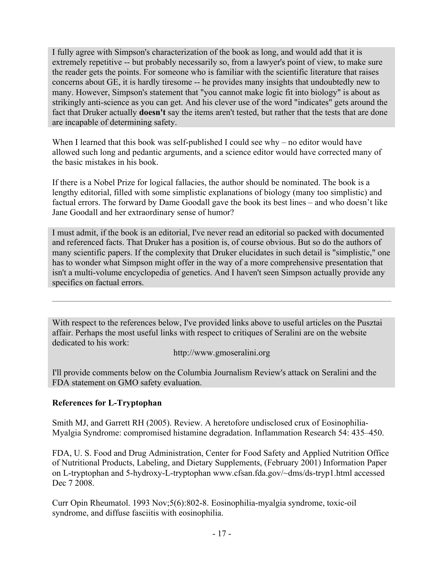I fully agree with Simpson's characterization of the book as long, and would add that it is extremely repetitive -- but probably necessarily so, from a lawyer's point of view, to make sure the reader gets the points. For someone who is familiar with the scientific literature that raises concerns about GE, it is hardly tiresome -- he provides many insights that undoubtedly new to many. However, Simpson's statement that "you cannot make logic fit into biology" is about as strikingly anti-science as you can get. And his clever use of the word "indicates" gets around the fact that Druker actually **doesn't** say the items aren't tested, but rather that the tests that are done are incapable of determining safety.

When I learned that this book was self-published I could see why – no editor would have allowed such long and pedantic arguments, and a science editor would have corrected many of the basic mistakes in his book.

If there is a Nobel Prize for logical fallacies, the author should be nominated. The book is a lengthy editorial, filled with some simplistic explanations of biology (many too simplistic) and factual errors. The forward by Dame Goodall gave the book its best lines – and who doesn't like Jane Goodall and her extraordinary sense of humor?

I must admit, if the book is an editorial, I've never read an editorial so packed with documented and referenced facts. That Druker has a position is, of course obvious. But so do the authors of many scientific papers. If the complexity that Druker elucidates in such detail is "simplistic," one has to wonder what Simpson might offer in the way of a more comprehensive presentation that isn't a multi-volume encyclopedia of genetics. And I haven't seen Simpson actually provide any specifics on factual errors.

With respect to the references below, I've provided links above to useful articles on the Pusztai affair. Perhaps the most useful links with respect to critiques of Seralini are on the website dedicated to his work:

http://www.gmoseralini.org

I'll provide comments below on the Columbia Journalism Review's attack on Seralini and the FDA statement on GMO safety evaluation.

## **References for L-Tryptophan**

Smith MJ, and Garrett RH (2005). Review. A heretofore undisclosed crux of Eosinophilia-Myalgia Syndrome: compromised histamine degradation. Inflammation Research 54: 435–450.

FDA, U. S. Food and Drug Administration, Center for Food Safety and Applied Nutrition Office of Nutritional Products, Labeling, and Dietary Supplements, (February 2001) Information Paper on L-tryptophan and 5-hydroxy-L-tryptophan www.cfsan.fda.gov/~dms/ds-tryp1.html accessed Dec 7 2008.

Curr Opin Rheumatol. 1993 Nov;5(6):802-8. Eosinophilia-myalgia syndrome, toxic-oil syndrome, and diffuse fasciitis with eosinophilia.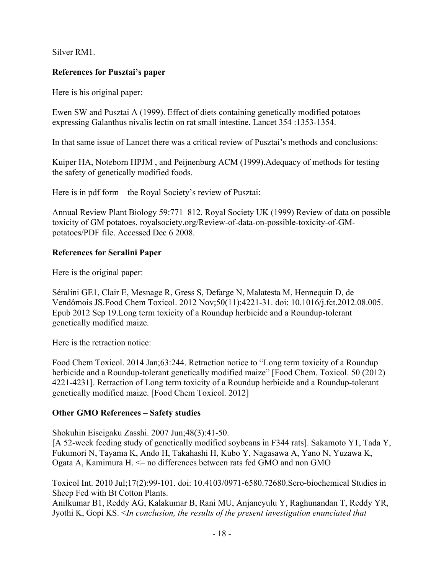Silver RM1.

## **References for Pusztai's paper**

Here is his original paper:

Ewen SW and Pusztai A (1999). Effect of diets containing genetically modified potatoes expressing Galanthus nivalis lectin on rat small intestine. Lancet 354 :1353-1354.

In that same issue of Lancet there was a critical review of Pusztai's methods and conclusions:

Kuiper HA, Noteborn HPJM , and Peijnenburg ACM (1999).Adequacy of methods for testing the safety of genetically modified foods.

Here is in pdf form – the Royal Society's review of Pusztai:

Annual Review Plant Biology 59:771–812. Royal Society UK (1999) Review of data on possible toxicity of GM potatoes. royalsociety.org/Review-of-data-on-possible-toxicity-of-GMpotatoes/PDF file. Accessed Dec 6 2008.

# **References for Seralini Paper**

Here is the original paper:

Séralini GE1, Clair E, Mesnage R, Gress S, Defarge N, Malatesta M, Hennequin D, de Vendômois JS.Food Chem Toxicol. 2012 Nov;50(11):4221-31. doi: 10.1016/j.fct.2012.08.005. Epub 2012 Sep 19.Long term toxicity of a Roundup herbicide and a Roundup-tolerant genetically modified maize.

Here is the retraction notice:

Food Chem Toxicol. 2014 Jan;63:244. Retraction notice to "Long term toxicity of a Roundup herbicide and a Roundup-tolerant genetically modified maize" [Food Chem. Toxicol. 50 (2012) 4221-4231]. Retraction of Long term toxicity of a Roundup herbicide and a Roundup-tolerant genetically modified maize. [Food Chem Toxicol. 2012]

# **Other GMO References – Safety studies**

Shokuhin Eiseigaku Zasshi. 2007 Jun;48(3):41-50.

[A 52-week feeding study of genetically modified soybeans in F344 rats]. Sakamoto Y1, Tada Y, Fukumori N, Tayama K, Ando H, Takahashi H, Kubo Y, Nagasawa A, Yano N, Yuzawa K, Ogata A, Kamimura H. <– no differences between rats fed GMO and non GMO

Toxicol Int. 2010 Jul;17(2):99-101. doi: 10.4103/0971-6580.72680.Sero-biochemical Studies in Sheep Fed with Bt Cotton Plants.

Anilkumar B1, Reddy AG, Kalakumar B, Rani MU, Anjaneyulu Y, Raghunandan T, Reddy YR, Jyothi K, Gopi KS. <*In conclusion, the results of the present investigation enunciated that*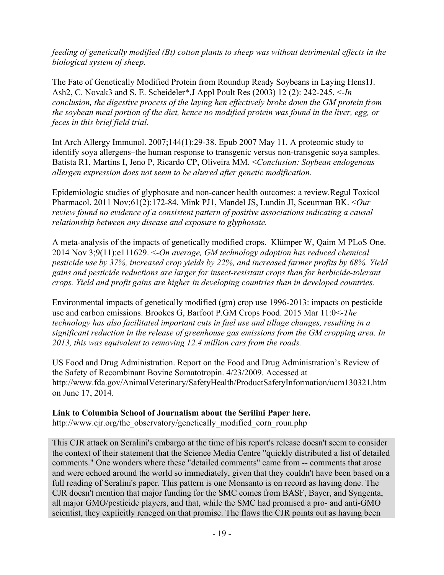*feeding of genetically modified (Bt) cotton plants to sheep was without detrimental effects in the biological system of sheep.*

The Fate of Genetically Modified Protein from Roundup Ready Soybeans in Laying Hens1J. Ash2, C. Novak3 and S. E. Scheideler\*,J Appl Poult Res (2003) 12 (2): 242-245. <-*In conclusion, the digestive process of the laying hen effectively broke down the GM protein from the soybean meal portion of the diet, hence no modified protein was found in the liver, egg, or feces in this brief field trial.*

Int Arch Allergy Immunol. 2007;144(1):29-38. Epub 2007 May 11. A proteomic study to identify soya allergens–the human response to transgenic versus non-transgenic soya samples. Batista R1, Martins I, Jeno P, Ricardo CP, Oliveira MM. <*Conclusion: Soybean endogenous allergen expression does not seem to be altered after genetic modification.*

Epidemiologic studies of glyphosate and non-cancer health outcomes: a review.Regul Toxicol Pharmacol. 2011 Nov;61(2):172-84. Mink PJ1, Mandel JS, Lundin JI, Sceurman BK. <*Our review found no evidence of a consistent pattern of positive associations indicating a causal relationship between any disease and exposure to glyphosate.*

A meta-analysis of the impacts of genetically modified crops. Klümper W, Qaim M PLoS One. 2014 Nov 3;9(11):e111629. <-*On average, GM technology adoption has reduced chemical pesticide use by 37%, increased crop yields by 22%, and increased farmer profits by 68%. Yield gains and pesticide reductions are larger for insect-resistant crops than for herbicide-tolerant crops. Yield and profit gains are higher in developing countries than in developed countries.*

Environmental impacts of genetically modified (gm) crop use 1996-2013: impacts on pesticide use and carbon emissions. Brookes G, Barfoot P.GM Crops Food. 2015 Mar 11:0<-*The technology has also facilitated important cuts in fuel use and tillage changes, resulting in a significant reduction in the release of greenhouse gas emissions from the GM cropping area. In 2013, this was equivalent to removing 12.4 million cars from the roads.*

US Food and Drug Administration. Report on the Food and Drug Administration's Review of the Safety of Recombinant Bovine Somatotropin. 4/23/2009. Accessed at http://www.fda.gov/AnimalVeterinary/SafetyHealth/ProductSafetyInformation/ucm130321.htm on June 17, 2014.

#### **Link to Columbia School of Journalism about the Serilini Paper here.**

http://www.cjr.org/the\_observatory/genetically\_modified\_corn\_roun.php

This CJR attack on Seralini's embargo at the time of his report's release doesn't seem to consider the context of their statement that the Science Media Centre "quickly distributed a list of detailed comments." One wonders where these "detailed comments" came from -- comments that arose and were echoed around the world so immediately, given that they couldn't have been based on a full reading of Seralini's paper. This pattern is one Monsanto is on record as having done. The CJR doesn't mention that major funding for the SMC comes from BASF, Bayer, and Syngenta, all major GMO/pesticide players, and that, while the SMC had promised a pro- and anti-GMO scientist, they explicitly reneged on that promise. The flaws the CJR points out as having been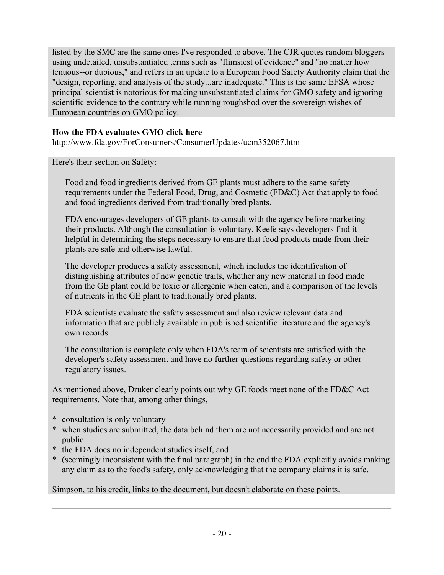listed by the SMC are the same ones I've responded to above. The CJR quotes random bloggers using undetailed, unsubstantiated terms such as "flimsiest of evidence" and "no matter how tenuous--or dubious," and refers in an update to a European Food Safety Authority claim that the "design, reporting, and analysis of the study...are inadequate." This is the same EFSA whose principal scientist is notorious for making unsubstantiated claims for GMO safety and ignoring scientific evidence to the contrary while running roughshod over the sovereign wishes of European countries on GMO policy.

## **How the FDA evaluates GMO click here**

http://www.fda.gov/ForConsumers/ConsumerUpdates/ucm352067.htm

Here's their section on Safety:

Food and food ingredients derived from GE plants must adhere to the same safety requirements under the Federal Food, Drug, and Cosmetic (FD&C) Act that apply to food and food ingredients derived from traditionally bred plants.

FDA encourages developers of GE plants to consult with the agency before marketing their products. Although the consultation is voluntary, Keefe says developers find it helpful in determining the steps necessary to ensure that food products made from their plants are safe and otherwise lawful.

The developer produces a safety assessment, which includes the identification of distinguishing attributes of new genetic traits, whether any new material in food made from the GE plant could be toxic or allergenic when eaten, and a comparison of the levels of nutrients in the GE plant to traditionally bred plants.

FDA scientists evaluate the safety assessment and also review relevant data and information that are publicly available in published scientific literature and the agency's own records.

The consultation is complete only when FDA's team of scientists are satisfied with the developer's safety assessment and have no further questions regarding safety or other regulatory issues.

As mentioned above, Druker clearly points out why GE foods meet none of the FD&C Act requirements. Note that, among other things,

- \* consultation is only voluntary
- \* when studies are submitted, the data behind them are not necessarily provided and are not public
- \* the FDA does no independent studies itself, and
- \* (seemingly inconsistent with the final paragraph) in the end the FDA explicitly avoids making any claim as to the food's safety, only acknowledging that the company claims it is safe.

Simpson, to his credit, links to the document, but doesn't elaborate on these points.